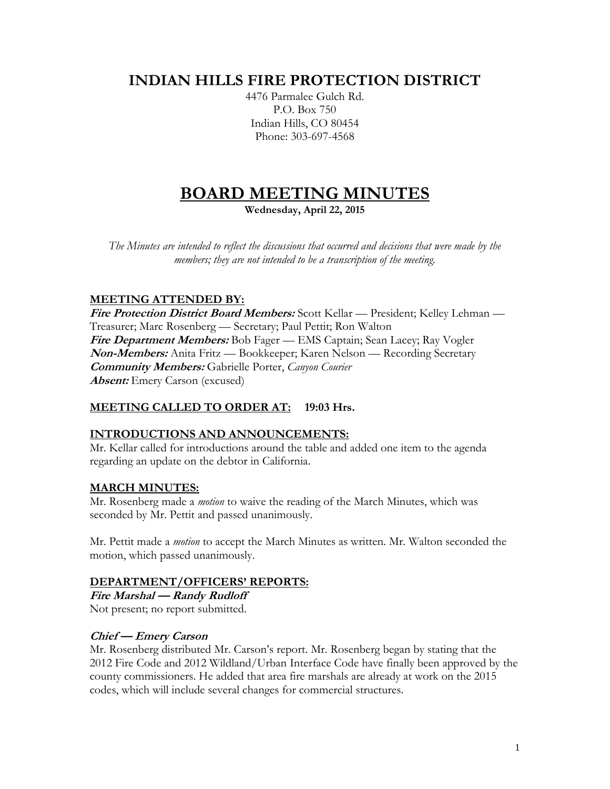# **INDIAN HILLS FIRE PROTECTION DISTRICT**

4476 Parmalee Gulch Rd. P.O. Box 750 Indian Hills, CO 80454 Phone: 303-697-4568

# **BOARD MEETING MINUTES**

**Wednesday, April 22, 2015**

*The Minutes are intended to reflect the discussions that occurred and decisions that were made by the members; they are not intended to be a transcription of the meeting.*

# **MEETING ATTENDED BY:**

**Fire Protection District Board Members:** Scott Kellar — President; Kelley Lehman — Treasurer; Marc Rosenberg — Secretary; Paul Pettit; Ron Walton **Fire Department Members:** Bob Fager — EMS Captain; Sean Lacey; Ray Vogler **Non-Members:** Anita Fritz — Bookkeeper; Karen Nelson — Recording Secretary **Community Members:** Gabrielle Porter, *Canyon Courier* **Absent:** Emery Carson (excused)

# **MEETING CALLED TO ORDER AT: 19:03 Hrs.**

# **INTRODUCTIONS AND ANNOUNCEMENTS:**

Mr. Kellar called for introductions around the table and added one item to the agenda regarding an update on the debtor in California.

# **MARCH MINUTES:**

Mr. Rosenberg made a *motion* to waive the reading of the March Minutes, which was seconded by Mr. Pettit and passed unanimously.

Mr. Pettit made a *motion* to accept the March Minutes as written. Mr. Walton seconded the motion, which passed unanimously.

#### **DEPARTMENT/OFFICERS' REPORTS:**

**Fire Marshal — Randy Rudloff** Not present; no report submitted.

# **Chief — Emery Carson**

Mr. Rosenberg distributed Mr. Carson's report. Mr. Rosenberg began by stating that the 2012 Fire Code and 2012 Wildland/Urban Interface Code have finally been approved by the county commissioners. He added that area fire marshals are already at work on the 2015 codes, which will include several changes for commercial structures.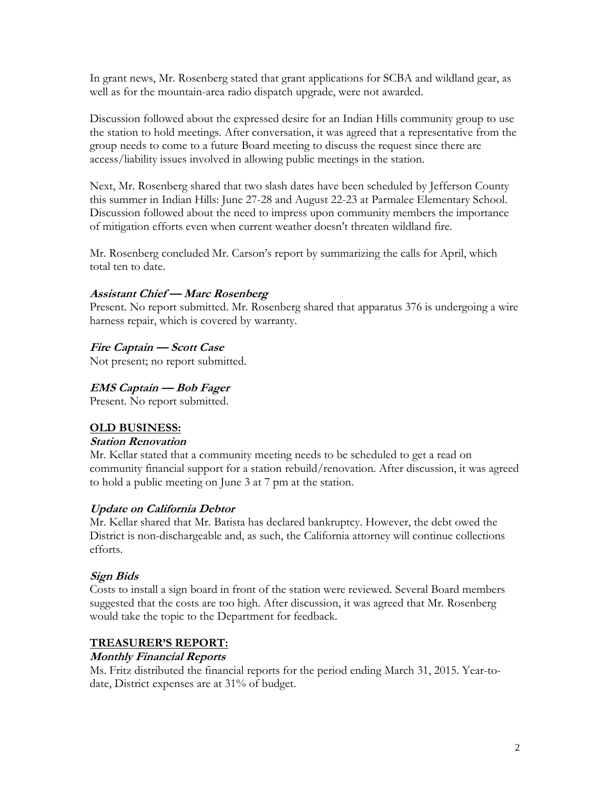In grant news, Mr. Rosenberg stated that grant applications for SCBA and wildland gear, as well as for the mountain-area radio dispatch upgrade, were not awarded.

Discussion followed about the expressed desire for an Indian Hills community group to use the station to hold meetings. After conversation, it was agreed that a representative from the group needs to come to a future Board meeting to discuss the request since there are access/liability issues involved in allowing public meetings in the station.

Next, Mr. Rosenberg shared that two slash dates have been scheduled by Jefferson County this summer in Indian Hills: June 27-28 and August 22-23 at Parmalee Elementary School. Discussion followed about the need to impress upon community members the importance of mitigation efforts even when current weather doesn't threaten wildland fire.

Mr. Rosenberg concluded Mr. Carson's report by summarizing the calls for April, which total ten to date.

# **Assistant Chief — Marc Rosenberg**

Present. No report submitted. Mr. Rosenberg shared that apparatus 376 is undergoing a wire harness repair, which is covered by warranty.

# **Fire Captain — Scott Case**

Not present; no report submitted.

# **EMS Captain — Bob Fager**

Present. No report submitted.

#### **OLD BUSINESS:**

#### **Station Renovation**

Mr. Kellar stated that a community meeting needs to be scheduled to get a read on community financial support for a station rebuild/renovation. After discussion, it was agreed to hold a public meeting on June 3 at 7 pm at the station.

#### **Update on California Debtor**

Mr. Kellar shared that Mr. Batista has declared bankruptcy. However, the debt owed the District is non-dischargeable and, as such, the California attorney will continue collections efforts.

#### **Sign Bids**

Costs to install a sign board in front of the station were reviewed. Several Board members suggested that the costs are too high. After discussion, it was agreed that Mr. Rosenberg would take the topic to the Department for feedback.

# **TREASURER'S REPORT:**

#### **Monthly Financial Reports**

Ms. Fritz distributed the financial reports for the period ending March 31, 2015. Year-todate, District expenses are at 31% of budget.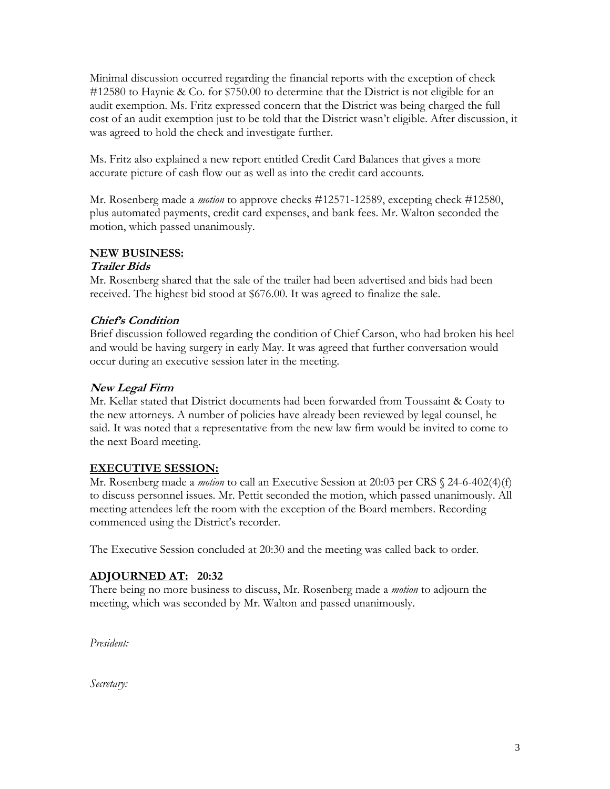Minimal discussion occurred regarding the financial reports with the exception of check #12580 to Haynie & Co. for \$750.00 to determine that the District is not eligible for an audit exemption. Ms. Fritz expressed concern that the District was being charged the full cost of an audit exemption just to be told that the District wasn't eligible. After discussion, it was agreed to hold the check and investigate further.

Ms. Fritz also explained a new report entitled Credit Card Balances that gives a more accurate picture of cash flow out as well as into the credit card accounts.

Mr. Rosenberg made a *motion* to approve checks #12571-12589, excepting check #12580, plus automated payments, credit card expenses, and bank fees. Mr. Walton seconded the motion, which passed unanimously.

# **NEW BUSINESS:**

# **Trailer Bids**

Mr. Rosenberg shared that the sale of the trailer had been advertised and bids had been received. The highest bid stood at \$676.00. It was agreed to finalize the sale.

# **Chief's Condition**

Brief discussion followed regarding the condition of Chief Carson, who had broken his heel and would be having surgery in early May. It was agreed that further conversation would occur during an executive session later in the meeting.

# **New Legal Firm**

Mr. Kellar stated that District documents had been forwarded from Toussaint & Coaty to the new attorneys. A number of policies have already been reviewed by legal counsel, he said. It was noted that a representative from the new law firm would be invited to come to the next Board meeting.

# **EXECUTIVE SESSION:**

Mr. Rosenberg made a *motion* to call an Executive Session at 20:03 per CRS § 24-6-402(4)(f) to discuss personnel issues. Mr. Pettit seconded the motion, which passed unanimously. All meeting attendees left the room with the exception of the Board members. Recording commenced using the District's recorder.

The Executive Session concluded at 20:30 and the meeting was called back to order.

# **ADJOURNED AT: 20:32**

There being no more business to discuss, Mr. Rosenberg made a *motion* to adjourn the meeting, which was seconded by Mr. Walton and passed unanimously.

*President:*

*Secretary:*